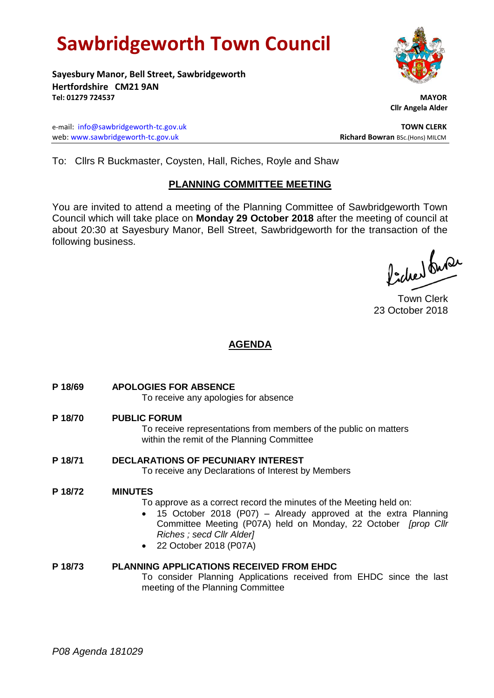# **Sawbridgeworth Town Council**

**Sayesbury Manor, Bell Street, Sawbridgeworth Hertfordshire CM21 9AN Tel: 01279 724537 MAYOR**

e-mail: [info@sawbridgeworth-tc.gov.uk](mailto:info@sawbridgeworth-tc.gov.uk) **TOWN CLERK** web: www.sawbridgeworth-tc.gov.uk **Richard Bowran** BSc.(Hons) MILCM

 **Cllr Angela Alder**

To: Cllrs R Buckmaster, Coysten, Hall, Riches, Royle and Shaw

# **PLANNING COMMITTEE MEETING**

You are invited to attend a meeting of the Planning Committee of Sawbridgeworth Town Council which will take place on **Monday 29 October 2018** after the meeting of council at about 20:30 at Sayesbury Manor, Bell Street, Sawbridgeworth for the transaction of the following business.

Picked fuse

Town Clerk 23 October 2018

# **AGENDA**

**P 18/69 APOLOGIES FOR ABSENCE**

To receive any apologies for absence

**P 18/70 PUBLIC FORUM**

To receive representations from members of the public on matters within the remit of the Planning Committee

**P 18/71 DECLARATIONS OF PECUNIARY INTEREST** To receive any Declarations of Interest by Members

# **P 18/72 MINUTES**

- To approve as a correct record the minutes of the Meeting held on:
- 15 October 2018 (P07) Already approved at the extra Planning Committee Meeting (P07A) held on Monday, 22 October *[prop Cllr Riches ; secd Cllr Alder]*
- 22 October 2018 (P07A)
- **P 18/73 PLANNING APPLICATIONS RECEIVED FROM EHDC** To consider Planning Applications received from EHDC since the last meeting of the Planning Committee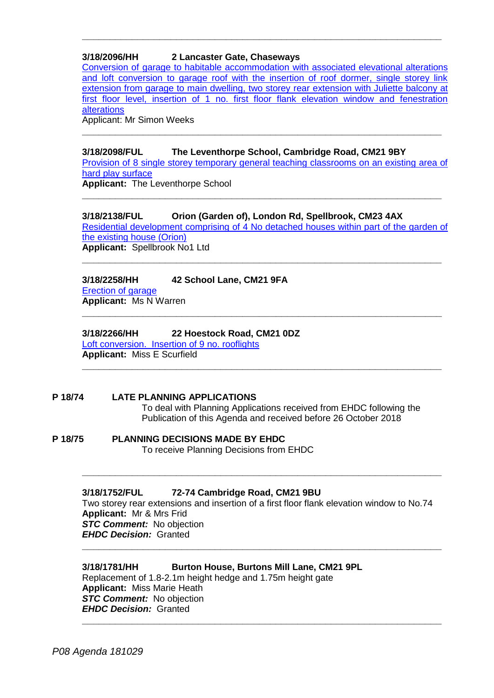# **3/18/2096/HH 2 Lancaster Gate, Chaseways**

Conversion of [garage to habitable accommodation with associated elevational alterations](https://publicaccess.eastherts.gov.uk/online-applications/applicationDetails.do?activeTab=documents&keyVal=PFEJ7KGL06200)  and loft conversion to garage roof with the insertion of roof dormer, single storey link [extension from garage to main dwelling, two storey](https://publicaccess.eastherts.gov.uk/online-applications/applicationDetails.do?activeTab=documents&keyVal=PFEJ7KGL06200) rear extension with Juliette balcony at [first floor level, insertion of 1 no. first floor flank elevation window and fenestration](https://publicaccess.eastherts.gov.uk/online-applications/applicationDetails.do?activeTab=documents&keyVal=PFEJ7KGL06200)  **[alterations](https://publicaccess.eastherts.gov.uk/online-applications/applicationDetails.do?activeTab=documents&keyVal=PFEJ7KGL06200)** 

**\_\_\_\_\_\_\_\_\_\_\_\_\_\_\_\_\_\_\_\_\_\_\_\_\_\_\_\_\_\_\_\_\_\_\_\_\_\_\_\_\_\_\_\_\_\_\_\_\_\_\_\_\_\_\_\_\_\_\_\_\_\_\_\_\_**

Applicant: Mr Simon Weeks

#### **3/18/2098/FUL The Leventhorpe School, Cambridge Road, CM21 9BY**

[Provision of 8 single storey temporary general teaching classrooms on an existing area of](https://publicaccess.eastherts.gov.uk/online-applications/applicationDetails.do?activeTab=documents&keyVal=PFEV1JGLG1I00)  [hard play surface](https://publicaccess.eastherts.gov.uk/online-applications/applicationDetails.do?activeTab=documents&keyVal=PFEV1JGLG1I00)

**\_\_\_\_\_\_\_\_\_\_\_\_\_\_\_\_\_\_\_\_\_\_\_\_\_\_\_\_\_\_\_\_\_\_\_\_\_\_\_\_\_\_\_\_\_\_\_\_\_\_\_\_\_\_\_\_\_\_\_\_\_\_\_\_\_**

**\_\_\_\_\_\_\_\_\_\_\_\_\_\_\_\_\_\_\_\_\_\_\_\_\_\_\_\_\_\_\_\_\_\_\_\_\_\_\_\_\_\_\_\_\_\_\_\_\_\_\_\_\_\_\_\_\_\_\_\_\_\_\_\_\_**

**Applicant:** The Leventhorpe School

# **3/18/2138/FUL Orion (Garden of), London Rd, Spellbrook, CM23 4AX**

[Residential development comprising of 4 No detached houses within part of the garden of](https://publicaccess.eastherts.gov.uk/online-applications/applicationDetails.do?activeTab=documents&keyVal=PFPCU3GLG4F00)  [the existing house \(Orion\)](https://publicaccess.eastherts.gov.uk/online-applications/applicationDetails.do?activeTab=documents&keyVal=PFPCU3GLG4F00) **Applicant:** Spellbrook No1 Ltd

**\_\_\_\_\_\_\_\_\_\_\_\_\_\_\_\_\_\_\_\_\_\_\_\_\_\_\_\_\_\_\_\_\_\_\_\_\_\_\_\_\_\_\_\_\_\_\_\_\_\_\_\_\_\_\_\_\_\_\_\_\_\_\_\_\_**

**\_\_\_\_\_\_\_\_\_\_\_\_\_\_\_\_\_\_\_\_\_\_\_\_\_\_\_\_\_\_\_\_\_\_\_\_\_\_\_\_\_\_\_\_\_\_\_\_\_\_\_\_\_\_\_\_\_\_\_\_\_\_\_\_\_**

**\_\_\_\_\_\_\_\_\_\_\_\_\_\_\_\_\_\_\_\_\_\_\_\_\_\_\_\_\_\_\_\_\_\_\_\_\_\_\_\_\_\_\_\_\_\_\_\_\_\_\_\_\_\_\_\_\_\_\_\_\_\_\_\_\_**

#### **3/18/2258/HH 42 School Lane, CM21 9FA** [Erection of garage](https://publicaccess.eastherts.gov.uk/online-applications/applicationDetails.do?activeTab=documents&keyVal=PGHR3WGLGCR00)  **Applicant:** Ms N Warren

#### **3/18/2266/HH 22 Hoestock Road, CM21 0DZ**

[Loft conversion. Insertion of 9](https://publicaccess.eastherts.gov.uk/online-applications/applicationDetails.do?activeTab=documents&keyVal=PGLGFTGLGDD00) no. rooflights **Applicant:** Miss E Scurfield

# **P 18/74 LATE PLANNING APPLICATIONS** To deal with Planning Applications received from EHDC following the Publication of this Agenda and received before 26 October 2018

**P 18/75 PLANNING DECISIONS MADE BY EHDC** To receive Planning Decisions from EHDC

# **3/18/1752/FUL 72-74 Cambridge Road, CM21 9BU**

Two storey rear extensions and insertion of a first floor flank elevation window to No.74 **Applicant:** Mr & Mrs Frid *STC Comment:* No objection *EHDC Decision:* Granted **\_\_\_\_\_\_\_\_\_\_\_\_\_\_\_\_\_\_\_\_\_\_\_\_\_\_\_\_\_\_\_\_\_\_\_\_\_\_\_\_\_\_\_\_\_\_\_\_\_\_\_\_\_\_\_\_\_\_\_\_\_\_\_\_\_**

**\_\_\_\_\_\_\_\_\_\_\_\_\_\_\_\_\_\_\_\_\_\_\_\_\_\_\_\_\_\_\_\_\_\_\_\_\_\_\_\_\_\_\_\_\_\_\_\_\_\_\_\_\_\_\_\_\_\_\_\_\_\_\_\_\_**

# **3/18/1781/HH Burton House, Burtons Mill Lane, CM21 9PL**

Replacement of 1.8-2.1m height hedge and 1.75m height gate **Applicant:** Miss Marie Heath *STC Comment:* No objection *EHDC Decision:* Granted **\_\_\_\_\_\_\_\_\_\_\_\_\_\_\_\_\_\_\_\_\_\_\_\_\_\_\_\_\_\_\_\_\_\_\_\_\_\_\_\_\_\_\_\_\_\_\_\_\_\_\_\_\_\_\_\_\_\_\_\_\_\_\_\_\_**